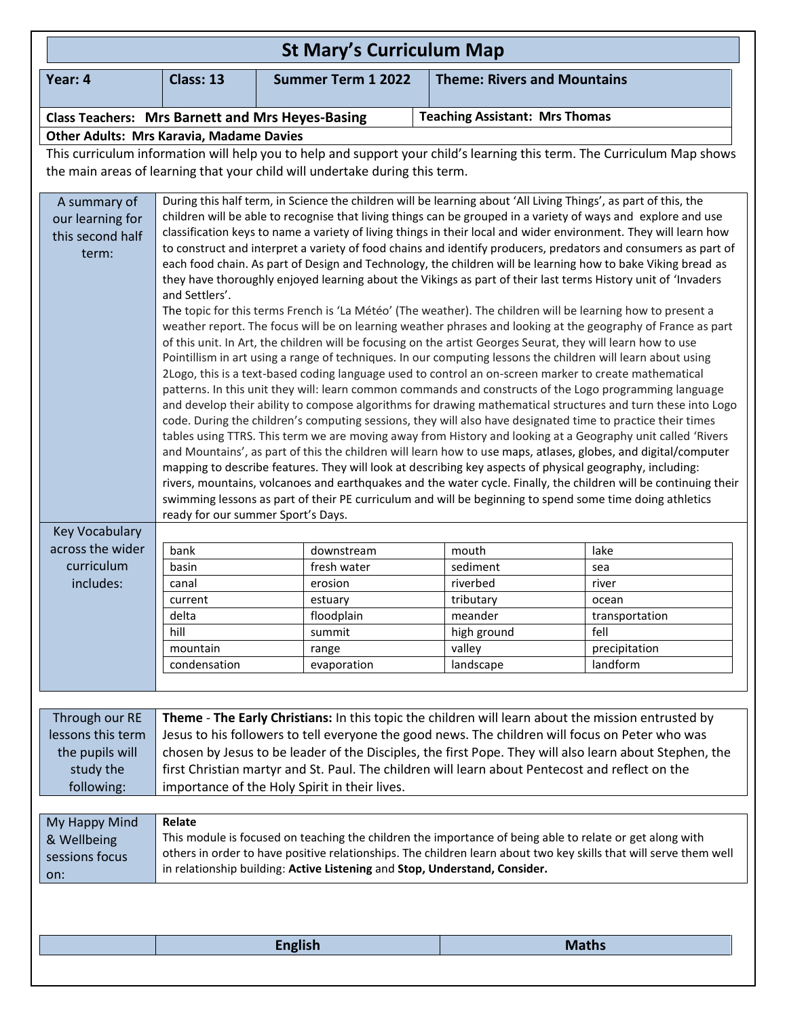| Year: 4<br>Class: 13<br><b>Theme: Rivers and Mountains</b><br><b>Summer Term 1 2022</b><br><b>Teaching Assistant: Mrs Thomas</b><br><b>Class Teachers: Mrs Barnett and Mrs Heyes-Basing</b><br><b>Other Adults: Mrs Karavia, Madame Davies</b><br>This curriculum information will help you to help and support your child's learning this term. The Curriculum Map shows<br>the main areas of learning that your child will undertake during this term.<br>During this half term, in Science the children will be learning about 'All Living Things', as part of this, the<br>A summary of<br>our learning for<br>this second half<br>term:<br>they have thoroughly enjoyed learning about the Vikings as part of their last terms History unit of 'Invaders<br>and Settlers'.<br>The topic for this terms French is 'La Météo' (The weather). The children will be learning how to present a<br>of this unit. In Art, the children will be focusing on the artist Georges Seurat, they will learn how to use<br>Pointillism in art using a range of techniques. In our computing lessons the children will learn about using<br>2Logo, this is a text-based coding language used to control an on-screen marker to create mathematical<br>code. During the children's computing sessions, they will also have designated time to practice their times<br>mapping to describe features. They will look at describing key aspects of physical geography, including:<br>swimming lessons as part of their PE curriculum and will be beginning to spend some time doing athletics<br>ready for our summer Sport's Days.<br><b>Key Vocabulary</b><br>across the wider<br>bank<br>lake<br>downstream<br>mouth<br>curriculum<br>fresh water<br>sediment<br>basin<br>sea<br>includes:<br>erosion<br>riverbed<br>canal<br>river<br>current<br>estuary<br>tributary<br>ocean<br>delta<br>floodplain<br>meander<br>transportation<br>hill<br>fell<br>summit<br>high ground<br>valley<br>mountain<br>precipitation<br>range<br>landform<br>condensation<br>evaporation<br>landscape<br>Through our RE<br>Theme - The Early Christians: In this topic the children will learn about the mission entrusted by<br>lessons this term<br>Jesus to his followers to tell everyone the good news. The children will focus on Peter who was<br>the pupils will<br>study the<br>first Christian martyr and St. Paul. The children will learn about Pentecost and reflect on the<br>importance of the Holy Spirit in their lives.<br>following:<br>Relate<br>My Happy Mind<br>This module is focused on teaching the children the importance of being able to relate or get along with<br>& Wellbeing<br>sessions focus<br>in relationship building: Active Listening and Stop, Understand, Consider.<br>on:<br><b>English</b><br><b>Maths</b> | <b>St Mary's Curriculum Map</b> |                                                                                                                                                                                                                                                                                                                                                                                                                                                                                                                                                                                                                                                                                                                                                                                                                                                                                                                                                                                                                                                                                                                                                                     |  |  |  |
|----------------------------------------------------------------------------------------------------------------------------------------------------------------------------------------------------------------------------------------------------------------------------------------------------------------------------------------------------------------------------------------------------------------------------------------------------------------------------------------------------------------------------------------------------------------------------------------------------------------------------------------------------------------------------------------------------------------------------------------------------------------------------------------------------------------------------------------------------------------------------------------------------------------------------------------------------------------------------------------------------------------------------------------------------------------------------------------------------------------------------------------------------------------------------------------------------------------------------------------------------------------------------------------------------------------------------------------------------------------------------------------------------------------------------------------------------------------------------------------------------------------------------------------------------------------------------------------------------------------------------------------------------------------------------------------------------------------------------------------------------------------------------------------------------------------------------------------------------------------------------------------------------------------------------------------------------------------------------------------------------------------------------------------------------------------------------------------------------------------------------------------------------------------------------------------------------------------------------------------------------------------------------------------------------------------------------------------------------------------------------------------------------------------------------------------------------------------------------------------------------------------------------------------------------------------------------------------------------------------------------------------------------------------------------------------------------------------------------------------------------------------------------------------------------------------------------|---------------------------------|---------------------------------------------------------------------------------------------------------------------------------------------------------------------------------------------------------------------------------------------------------------------------------------------------------------------------------------------------------------------------------------------------------------------------------------------------------------------------------------------------------------------------------------------------------------------------------------------------------------------------------------------------------------------------------------------------------------------------------------------------------------------------------------------------------------------------------------------------------------------------------------------------------------------------------------------------------------------------------------------------------------------------------------------------------------------------------------------------------------------------------------------------------------------|--|--|--|
|                                                                                                                                                                                                                                                                                                                                                                                                                                                                                                                                                                                                                                                                                                                                                                                                                                                                                                                                                                                                                                                                                                                                                                                                                                                                                                                                                                                                                                                                                                                                                                                                                                                                                                                                                                                                                                                                                                                                                                                                                                                                                                                                                                                                                                                                                                                                                                                                                                                                                                                                                                                                                                                                                                                                                                                                                            |                                 |                                                                                                                                                                                                                                                                                                                                                                                                                                                                                                                                                                                                                                                                                                                                                                                                                                                                                                                                                                                                                                                                                                                                                                     |  |  |  |
|                                                                                                                                                                                                                                                                                                                                                                                                                                                                                                                                                                                                                                                                                                                                                                                                                                                                                                                                                                                                                                                                                                                                                                                                                                                                                                                                                                                                                                                                                                                                                                                                                                                                                                                                                                                                                                                                                                                                                                                                                                                                                                                                                                                                                                                                                                                                                                                                                                                                                                                                                                                                                                                                                                                                                                                                                            |                                 |                                                                                                                                                                                                                                                                                                                                                                                                                                                                                                                                                                                                                                                                                                                                                                                                                                                                                                                                                                                                                                                                                                                                                                     |  |  |  |
|                                                                                                                                                                                                                                                                                                                                                                                                                                                                                                                                                                                                                                                                                                                                                                                                                                                                                                                                                                                                                                                                                                                                                                                                                                                                                                                                                                                                                                                                                                                                                                                                                                                                                                                                                                                                                                                                                                                                                                                                                                                                                                                                                                                                                                                                                                                                                                                                                                                                                                                                                                                                                                                                                                                                                                                                                            |                                 |                                                                                                                                                                                                                                                                                                                                                                                                                                                                                                                                                                                                                                                                                                                                                                                                                                                                                                                                                                                                                                                                                                                                                                     |  |  |  |
|                                                                                                                                                                                                                                                                                                                                                                                                                                                                                                                                                                                                                                                                                                                                                                                                                                                                                                                                                                                                                                                                                                                                                                                                                                                                                                                                                                                                                                                                                                                                                                                                                                                                                                                                                                                                                                                                                                                                                                                                                                                                                                                                                                                                                                                                                                                                                                                                                                                                                                                                                                                                                                                                                                                                                                                                                            |                                 |                                                                                                                                                                                                                                                                                                                                                                                                                                                                                                                                                                                                                                                                                                                                                                                                                                                                                                                                                                                                                                                                                                                                                                     |  |  |  |
|                                                                                                                                                                                                                                                                                                                                                                                                                                                                                                                                                                                                                                                                                                                                                                                                                                                                                                                                                                                                                                                                                                                                                                                                                                                                                                                                                                                                                                                                                                                                                                                                                                                                                                                                                                                                                                                                                                                                                                                                                                                                                                                                                                                                                                                                                                                                                                                                                                                                                                                                                                                                                                                                                                                                                                                                                            |                                 |                                                                                                                                                                                                                                                                                                                                                                                                                                                                                                                                                                                                                                                                                                                                                                                                                                                                                                                                                                                                                                                                                                                                                                     |  |  |  |
|                                                                                                                                                                                                                                                                                                                                                                                                                                                                                                                                                                                                                                                                                                                                                                                                                                                                                                                                                                                                                                                                                                                                                                                                                                                                                                                                                                                                                                                                                                                                                                                                                                                                                                                                                                                                                                                                                                                                                                                                                                                                                                                                                                                                                                                                                                                                                                                                                                                                                                                                                                                                                                                                                                                                                                                                                            |                                 | children will be able to recognise that living things can be grouped in a variety of ways and explore and use<br>classification keys to name a variety of living things in their local and wider environment. They will learn how<br>to construct and interpret a variety of food chains and identify producers, predators and consumers as part of<br>each food chain. As part of Design and Technology, the children will be learning how to bake Viking bread as<br>weather report. The focus will be on learning weather phrases and looking at the geography of France as part<br>patterns. In this unit they will: learn common commands and constructs of the Logo programming language<br>and develop their ability to compose algorithms for drawing mathematical structures and turn these into Logo<br>tables using TTRS. This term we are moving away from History and looking at a Geography unit called 'Rivers<br>and Mountains', as part of this the children will learn how to use maps, atlases, globes, and digital/computer<br>rivers, mountains, volcanoes and earthquakes and the water cycle. Finally, the children will be continuing their |  |  |  |
|                                                                                                                                                                                                                                                                                                                                                                                                                                                                                                                                                                                                                                                                                                                                                                                                                                                                                                                                                                                                                                                                                                                                                                                                                                                                                                                                                                                                                                                                                                                                                                                                                                                                                                                                                                                                                                                                                                                                                                                                                                                                                                                                                                                                                                                                                                                                                                                                                                                                                                                                                                                                                                                                                                                                                                                                                            |                                 |                                                                                                                                                                                                                                                                                                                                                                                                                                                                                                                                                                                                                                                                                                                                                                                                                                                                                                                                                                                                                                                                                                                                                                     |  |  |  |
|                                                                                                                                                                                                                                                                                                                                                                                                                                                                                                                                                                                                                                                                                                                                                                                                                                                                                                                                                                                                                                                                                                                                                                                                                                                                                                                                                                                                                                                                                                                                                                                                                                                                                                                                                                                                                                                                                                                                                                                                                                                                                                                                                                                                                                                                                                                                                                                                                                                                                                                                                                                                                                                                                                                                                                                                                            |                                 |                                                                                                                                                                                                                                                                                                                                                                                                                                                                                                                                                                                                                                                                                                                                                                                                                                                                                                                                                                                                                                                                                                                                                                     |  |  |  |
|                                                                                                                                                                                                                                                                                                                                                                                                                                                                                                                                                                                                                                                                                                                                                                                                                                                                                                                                                                                                                                                                                                                                                                                                                                                                                                                                                                                                                                                                                                                                                                                                                                                                                                                                                                                                                                                                                                                                                                                                                                                                                                                                                                                                                                                                                                                                                                                                                                                                                                                                                                                                                                                                                                                                                                                                                            |                                 |                                                                                                                                                                                                                                                                                                                                                                                                                                                                                                                                                                                                                                                                                                                                                                                                                                                                                                                                                                                                                                                                                                                                                                     |  |  |  |
|                                                                                                                                                                                                                                                                                                                                                                                                                                                                                                                                                                                                                                                                                                                                                                                                                                                                                                                                                                                                                                                                                                                                                                                                                                                                                                                                                                                                                                                                                                                                                                                                                                                                                                                                                                                                                                                                                                                                                                                                                                                                                                                                                                                                                                                                                                                                                                                                                                                                                                                                                                                                                                                                                                                                                                                                                            |                                 |                                                                                                                                                                                                                                                                                                                                                                                                                                                                                                                                                                                                                                                                                                                                                                                                                                                                                                                                                                                                                                                                                                                                                                     |  |  |  |
|                                                                                                                                                                                                                                                                                                                                                                                                                                                                                                                                                                                                                                                                                                                                                                                                                                                                                                                                                                                                                                                                                                                                                                                                                                                                                                                                                                                                                                                                                                                                                                                                                                                                                                                                                                                                                                                                                                                                                                                                                                                                                                                                                                                                                                                                                                                                                                                                                                                                                                                                                                                                                                                                                                                                                                                                                            |                                 |                                                                                                                                                                                                                                                                                                                                                                                                                                                                                                                                                                                                                                                                                                                                                                                                                                                                                                                                                                                                                                                                                                                                                                     |  |  |  |
|                                                                                                                                                                                                                                                                                                                                                                                                                                                                                                                                                                                                                                                                                                                                                                                                                                                                                                                                                                                                                                                                                                                                                                                                                                                                                                                                                                                                                                                                                                                                                                                                                                                                                                                                                                                                                                                                                                                                                                                                                                                                                                                                                                                                                                                                                                                                                                                                                                                                                                                                                                                                                                                                                                                                                                                                                            |                                 |                                                                                                                                                                                                                                                                                                                                                                                                                                                                                                                                                                                                                                                                                                                                                                                                                                                                                                                                                                                                                                                                                                                                                                     |  |  |  |
|                                                                                                                                                                                                                                                                                                                                                                                                                                                                                                                                                                                                                                                                                                                                                                                                                                                                                                                                                                                                                                                                                                                                                                                                                                                                                                                                                                                                                                                                                                                                                                                                                                                                                                                                                                                                                                                                                                                                                                                                                                                                                                                                                                                                                                                                                                                                                                                                                                                                                                                                                                                                                                                                                                                                                                                                                            |                                 |                                                                                                                                                                                                                                                                                                                                                                                                                                                                                                                                                                                                                                                                                                                                                                                                                                                                                                                                                                                                                                                                                                                                                                     |  |  |  |
|                                                                                                                                                                                                                                                                                                                                                                                                                                                                                                                                                                                                                                                                                                                                                                                                                                                                                                                                                                                                                                                                                                                                                                                                                                                                                                                                                                                                                                                                                                                                                                                                                                                                                                                                                                                                                                                                                                                                                                                                                                                                                                                                                                                                                                                                                                                                                                                                                                                                                                                                                                                                                                                                                                                                                                                                                            |                                 |                                                                                                                                                                                                                                                                                                                                                                                                                                                                                                                                                                                                                                                                                                                                                                                                                                                                                                                                                                                                                                                                                                                                                                     |  |  |  |
|                                                                                                                                                                                                                                                                                                                                                                                                                                                                                                                                                                                                                                                                                                                                                                                                                                                                                                                                                                                                                                                                                                                                                                                                                                                                                                                                                                                                                                                                                                                                                                                                                                                                                                                                                                                                                                                                                                                                                                                                                                                                                                                                                                                                                                                                                                                                                                                                                                                                                                                                                                                                                                                                                                                                                                                                                            |                                 | chosen by Jesus to be leader of the Disciples, the first Pope. They will also learn about Stephen, the<br>others in order to have positive relationships. The children learn about two key skills that will serve them well                                                                                                                                                                                                                                                                                                                                                                                                                                                                                                                                                                                                                                                                                                                                                                                                                                                                                                                                         |  |  |  |
|                                                                                                                                                                                                                                                                                                                                                                                                                                                                                                                                                                                                                                                                                                                                                                                                                                                                                                                                                                                                                                                                                                                                                                                                                                                                                                                                                                                                                                                                                                                                                                                                                                                                                                                                                                                                                                                                                                                                                                                                                                                                                                                                                                                                                                                                                                                                                                                                                                                                                                                                                                                                                                                                                                                                                                                                                            |                                 |                                                                                                                                                                                                                                                                                                                                                                                                                                                                                                                                                                                                                                                                                                                                                                                                                                                                                                                                                                                                                                                                                                                                                                     |  |  |  |
|                                                                                                                                                                                                                                                                                                                                                                                                                                                                                                                                                                                                                                                                                                                                                                                                                                                                                                                                                                                                                                                                                                                                                                                                                                                                                                                                                                                                                                                                                                                                                                                                                                                                                                                                                                                                                                                                                                                                                                                                                                                                                                                                                                                                                                                                                                                                                                                                                                                                                                                                                                                                                                                                                                                                                                                                                            |                                 |                                                                                                                                                                                                                                                                                                                                                                                                                                                                                                                                                                                                                                                                                                                                                                                                                                                                                                                                                                                                                                                                                                                                                                     |  |  |  |
|                                                                                                                                                                                                                                                                                                                                                                                                                                                                                                                                                                                                                                                                                                                                                                                                                                                                                                                                                                                                                                                                                                                                                                                                                                                                                                                                                                                                                                                                                                                                                                                                                                                                                                                                                                                                                                                                                                                                                                                                                                                                                                                                                                                                                                                                                                                                                                                                                                                                                                                                                                                                                                                                                                                                                                                                                            |                                 |                                                                                                                                                                                                                                                                                                                                                                                                                                                                                                                                                                                                                                                                                                                                                                                                                                                                                                                                                                                                                                                                                                                                                                     |  |  |  |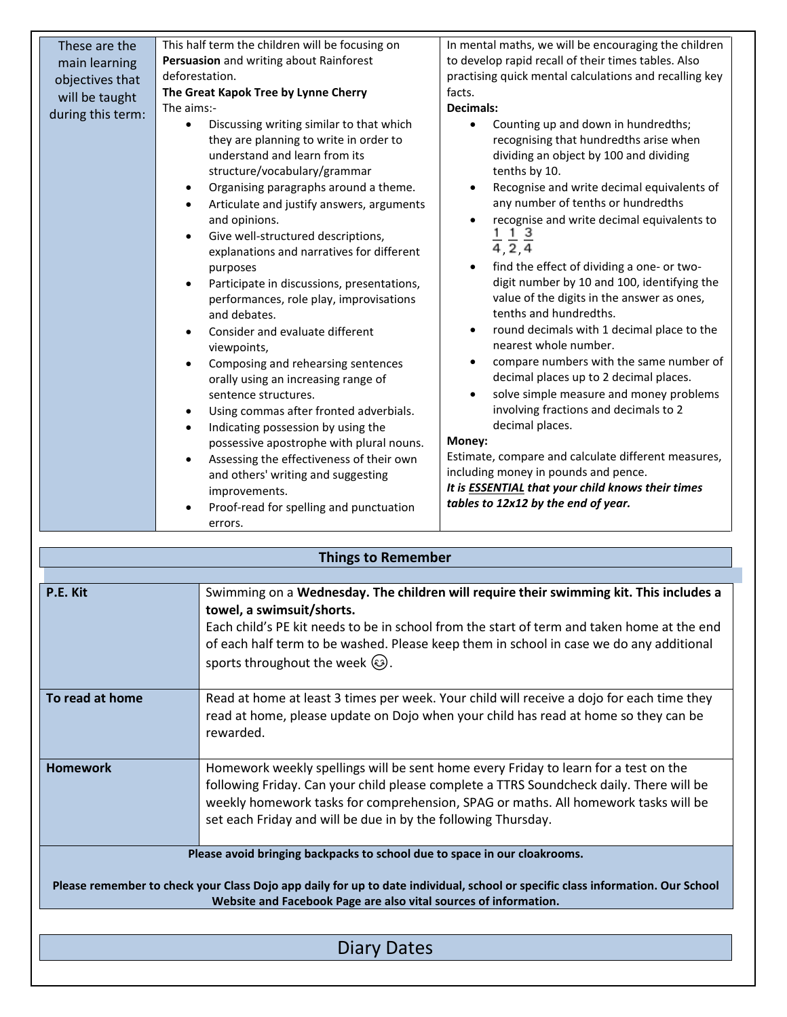| These are the     | This half term the children will be focusing on                                                                                                                                                                                                                                                                                                                                                                                                                                                                                                                                                                                                                                                                                                                                                                                                                                                                                                                                 | In mental maths, we will be encouraging the children                                                                                                                                                                                                                                                                                                                                                                                                                                                                                                                                                                                                                                                                                                                                                                                                                                                                                                                                                                                                                   |  |
|-------------------|---------------------------------------------------------------------------------------------------------------------------------------------------------------------------------------------------------------------------------------------------------------------------------------------------------------------------------------------------------------------------------------------------------------------------------------------------------------------------------------------------------------------------------------------------------------------------------------------------------------------------------------------------------------------------------------------------------------------------------------------------------------------------------------------------------------------------------------------------------------------------------------------------------------------------------------------------------------------------------|------------------------------------------------------------------------------------------------------------------------------------------------------------------------------------------------------------------------------------------------------------------------------------------------------------------------------------------------------------------------------------------------------------------------------------------------------------------------------------------------------------------------------------------------------------------------------------------------------------------------------------------------------------------------------------------------------------------------------------------------------------------------------------------------------------------------------------------------------------------------------------------------------------------------------------------------------------------------------------------------------------------------------------------------------------------------|--|
| main learning     | Persuasion and writing about Rainforest                                                                                                                                                                                                                                                                                                                                                                                                                                                                                                                                                                                                                                                                                                                                                                                                                                                                                                                                         | to develop rapid recall of their times tables. Also                                                                                                                                                                                                                                                                                                                                                                                                                                                                                                                                                                                                                                                                                                                                                                                                                                                                                                                                                                                                                    |  |
|                   | deforestation.                                                                                                                                                                                                                                                                                                                                                                                                                                                                                                                                                                                                                                                                                                                                                                                                                                                                                                                                                                  | practising quick mental calculations and recalling key                                                                                                                                                                                                                                                                                                                                                                                                                                                                                                                                                                                                                                                                                                                                                                                                                                                                                                                                                                                                                 |  |
| objectives that   | The Great Kapok Tree by Lynne Cherry                                                                                                                                                                                                                                                                                                                                                                                                                                                                                                                                                                                                                                                                                                                                                                                                                                                                                                                                            | facts.                                                                                                                                                                                                                                                                                                                                                                                                                                                                                                                                                                                                                                                                                                                                                                                                                                                                                                                                                                                                                                                                 |  |
| will be taught    | The aims:-                                                                                                                                                                                                                                                                                                                                                                                                                                                                                                                                                                                                                                                                                                                                                                                                                                                                                                                                                                      | <b>Decimals:</b>                                                                                                                                                                                                                                                                                                                                                                                                                                                                                                                                                                                                                                                                                                                                                                                                                                                                                                                                                                                                                                                       |  |
| during this term: | Discussing writing similar to that which<br>$\bullet$<br>they are planning to write in order to<br>understand and learn from its<br>structure/vocabulary/grammar<br>Organising paragraphs around a theme.<br>$\bullet$<br>Articulate and justify answers, arguments<br>and opinions.<br>Give well-structured descriptions,<br>explanations and narratives for different<br>purposes<br>Participate in discussions, presentations,<br>$\bullet$<br>performances, role play, improvisations<br>and debates.<br>Consider and evaluate different<br>viewpoints,<br>Composing and rehearsing sentences<br>$\bullet$<br>orally using an increasing range of<br>sentence structures.<br>Using commas after fronted adverbials.<br>Indicating possession by using the<br>$\bullet$<br>possessive apostrophe with plural nouns.<br>Assessing the effectiveness of their own<br>and others' writing and suggesting<br>improvements.<br>Proof-read for spelling and punctuation<br>errors. | Counting up and down in hundredths;<br>$\bullet$<br>recognising that hundredths arise when<br>dividing an object by 100 and dividing<br>tenths by 10.<br>Recognise and write decimal equivalents of<br>$\bullet$<br>any number of tenths or hundredths<br>recognise and write decimal equivalents to<br>$\bullet$<br>$\frac{1}{4}$ $\frac{1}{2}$ $\frac{3}{4}$<br>find the effect of dividing a one- or two-<br>$\bullet$<br>digit number by 10 and 100, identifying the<br>value of the digits in the answer as ones,<br>tenths and hundredths.<br>round decimals with 1 decimal place to the<br>$\bullet$<br>nearest whole number.<br>compare numbers with the same number of<br>$\bullet$<br>decimal places up to 2 decimal places.<br>solve simple measure and money problems<br>$\bullet$<br>involving fractions and decimals to 2<br>decimal places.<br>Money:<br>Estimate, compare and calculate different measures,<br>including money in pounds and pence.<br>It is <b>ESSENTIAL</b> that your child knows their times<br>tables to 12x12 by the end of year. |  |

| <b>Things to Remember</b>                                                                                                                                                                                                                                                       |                                                                                                                                                                                                                                                                                                                                                            |  |
|---------------------------------------------------------------------------------------------------------------------------------------------------------------------------------------------------------------------------------------------------------------------------------|------------------------------------------------------------------------------------------------------------------------------------------------------------------------------------------------------------------------------------------------------------------------------------------------------------------------------------------------------------|--|
|                                                                                                                                                                                                                                                                                 |                                                                                                                                                                                                                                                                                                                                                            |  |
| P.E. Kit                                                                                                                                                                                                                                                                        | Swimming on a Wednesday. The children will require their swimming kit. This includes a<br>towel, a swimsuit/shorts.<br>Each child's PE kit needs to be in school from the start of term and taken home at the end<br>of each half term to be washed. Please keep them in school in case we do any additional<br>sports throughout the week $\circled{e}$ . |  |
| To read at home                                                                                                                                                                                                                                                                 | Read at home at least 3 times per week. Your child will receive a dojo for each time they<br>read at home, please update on Dojo when your child has read at home so they can be<br>rewarded.                                                                                                                                                              |  |
| <b>Homework</b>                                                                                                                                                                                                                                                                 | Homework weekly spellings will be sent home every Friday to learn for a test on the<br>following Friday. Can your child please complete a TTRS Soundcheck daily. There will be<br>weekly homework tasks for comprehension, SPAG or maths. All homework tasks will be<br>set each Friday and will be due in by the following Thursday.                      |  |
| Please avoid bringing backpacks to school due to space in our cloakrooms.<br>Please remember to check your Class Dojo app daily for up to date individual, school or specific class information. Our School<br>Website and Facebook Page are also vital sources of information. |                                                                                                                                                                                                                                                                                                                                                            |  |
| Dates<br>Diary                                                                                                                                                                                                                                                                  |                                                                                                                                                                                                                                                                                                                                                            |  |